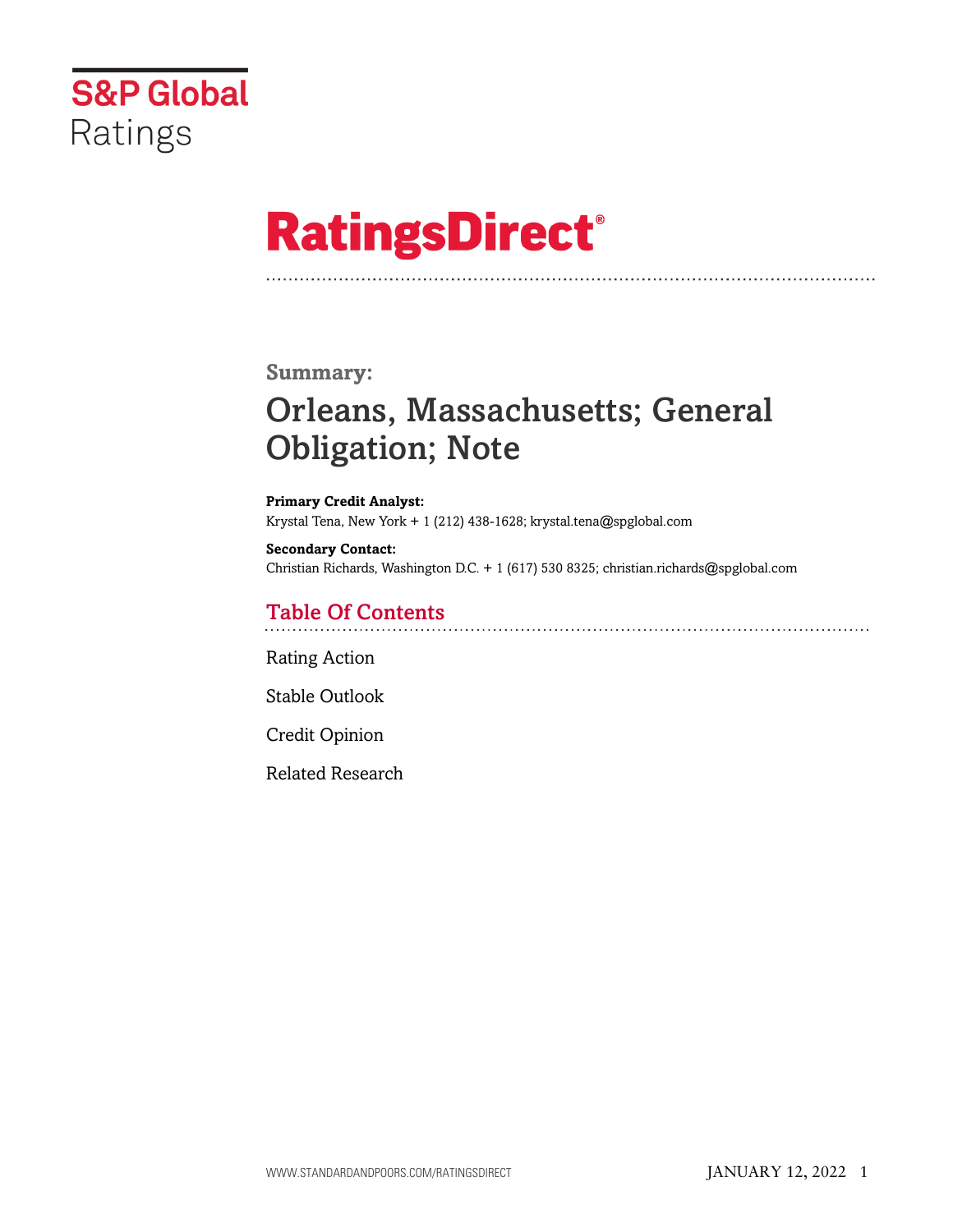

# **RatingsDirect®**

# **Summary:**

# Orleans, Massachusetts; General Obligation; Note

**Primary Credit Analyst:** Krystal Tena, New York + 1 (212) 438-1628; krystal.tena@spglobal.com

**Secondary Contact:** Christian Richards, Washington D.C. + 1 (617) 530 8325; christian.richards@spglobal.com

# Table Of Contents

[Rating Action](#page-1-0)

[Stable Outlook](#page-2-0)

[Credit Opinion](#page-2-1)

[Related Research](#page-6-0)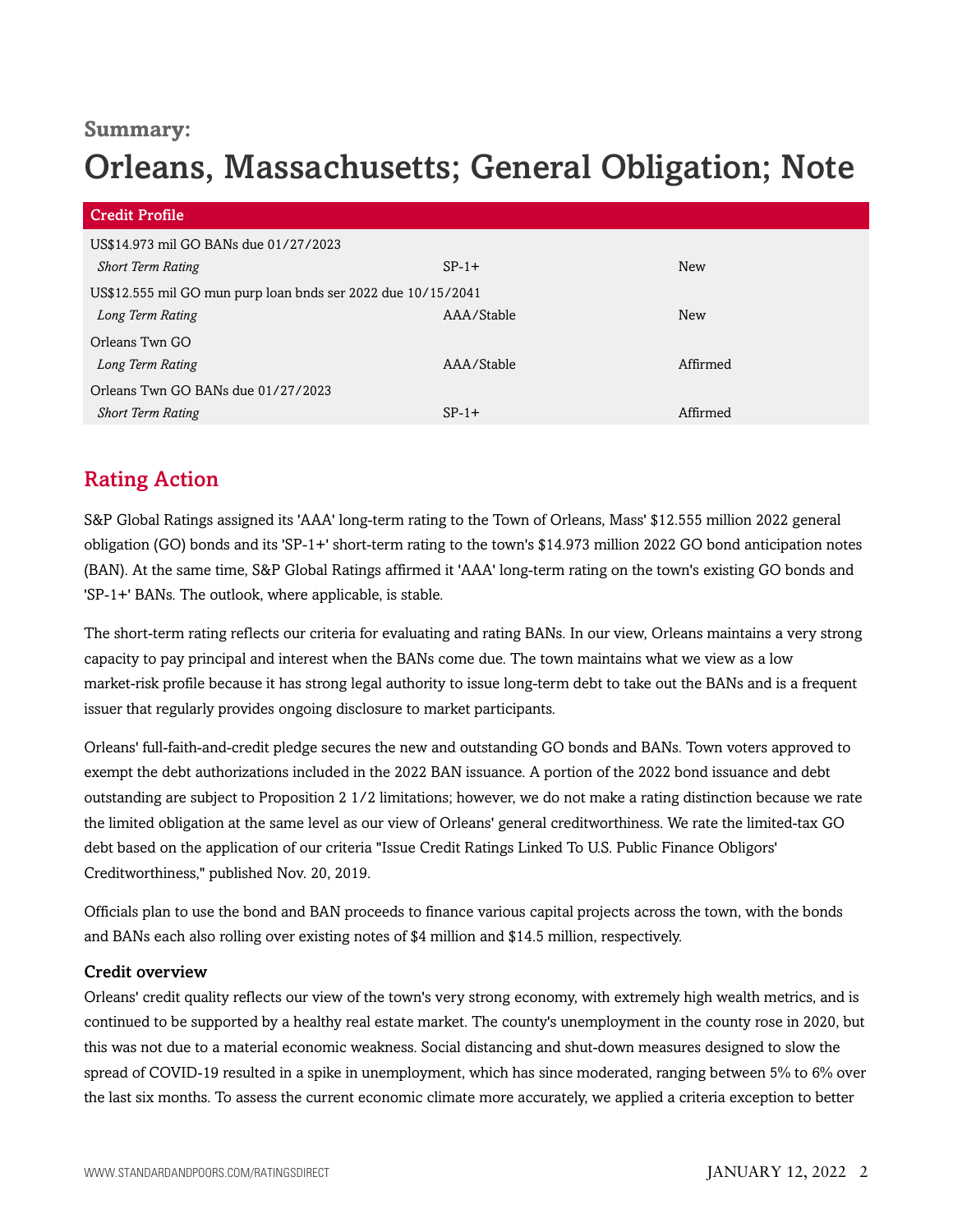# **Summary:**

# Orleans, Massachusetts; General Obligation; Note

| <b>Credit Profile</b>                                        |            |            |  |  |
|--------------------------------------------------------------|------------|------------|--|--|
| US\$14.973 mil GO BANs due 01/27/2023                        |            |            |  |  |
| <b>Short Term Rating</b>                                     | $SP-1+$    | New        |  |  |
| US\$12.555 mil GO mun purp loan bnds ser 2022 due 10/15/2041 |            |            |  |  |
| Long Term Rating                                             | AAA/Stable | <b>New</b> |  |  |
| Orleans Twn GO                                               |            |            |  |  |
| Long Term Rating                                             | AAA/Stable | Affirmed   |  |  |
| Orleans Twn GO BANs due 01/27/2023                           |            |            |  |  |
| <b>Short Term Rating</b>                                     | $SP-1+$    | Affirmed   |  |  |

# <span id="page-1-0"></span>Rating Action

S&P Global Ratings assigned its 'AAA' long-term rating to the Town of Orleans, Mass' \$12.555 million 2022 general obligation (GO) bonds and its 'SP-1+' short-term rating to the town's \$14.973 million 2022 GO bond anticipation notes (BAN). At the same time, S&P Global Ratings affirmed it 'AAA' long-term rating on the town's existing GO bonds and 'SP-1+' BANs. The outlook, where applicable, is stable.

The short-term rating reflects our criteria for evaluating and rating BANs. In our view, Orleans maintains a very strong capacity to pay principal and interest when the BANs come due. The town maintains what we view as a low market-risk profile because it has strong legal authority to issue long-term debt to take out the BANs and is a frequent issuer that regularly provides ongoing disclosure to market participants.

Orleans' full-faith-and-credit pledge secures the new and outstanding GO bonds and BANs. Town voters approved to exempt the debt authorizations included in the 2022 BAN issuance. A portion of the 2022 bond issuance and debt outstanding are subject to Proposition 2 1/2 limitations; however, we do not make a rating distinction because we rate the limited obligation at the same level as our view of Orleans' general creditworthiness. We rate the limited-tax GO debt based on the application of our criteria "Issue Credit Ratings Linked To U.S. Public Finance Obligors' Creditworthiness," published Nov. 20, 2019.

Officials plan to use the bond and BAN proceeds to finance various capital projects across the town, with the bonds and BANs each also rolling over existing notes of \$4 million and \$14.5 million, respectively.

### Credit overview

Orleans' credit quality reflects our view of the town's very strong economy, with extremely high wealth metrics, and is continued to be supported by a healthy real estate market. The county's unemployment in the county rose in 2020, but this was not due to a material economic weakness. Social distancing and shut-down measures designed to slow the spread of COVID-19 resulted in a spike in unemployment, which has since moderated, ranging between 5% to 6% over the last six months. To assess the current economic climate more accurately, we applied a criteria exception to better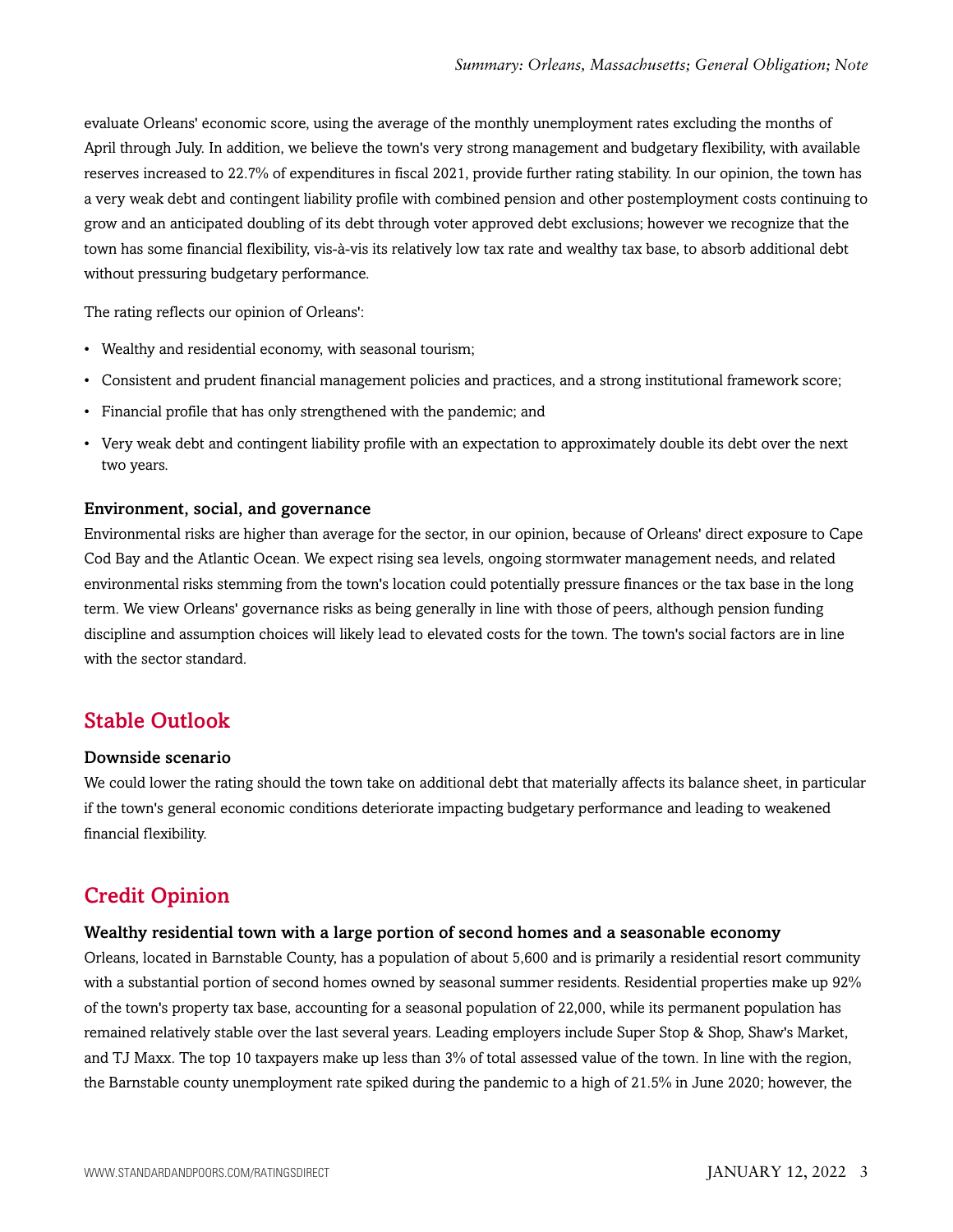evaluate Orleans' economic score, using the average of the monthly unemployment rates excluding the months of April through July. In addition, we believe the town's very strong management and budgetary flexibility, with available reserves increased to 22.7% of expenditures in fiscal 2021, provide further rating stability. In our opinion, the town has a very weak debt and contingent liability profile with combined pension and other postemployment costs continuing to grow and an anticipated doubling of its debt through voter approved debt exclusions; however we recognize that the town has some financial flexibility, vis-à-vis its relatively low tax rate and wealthy tax base, to absorb additional debt without pressuring budgetary performance.

The rating reflects our opinion of Orleans':

- Wealthy and residential economy, with seasonal tourism;
- Consistent and prudent financial management policies and practices, and a strong institutional framework score;
- Financial profile that has only strengthened with the pandemic; and
- Very weak debt and contingent liability profile with an expectation to approximately double its debt over the next two years.

#### Environment, social, and governance

Environmental risks are higher than average for the sector, in our opinion, because of Orleans' direct exposure to Cape Cod Bay and the Atlantic Ocean. We expect rising sea levels, ongoing stormwater management needs, and related environmental risks stemming from the town's location could potentially pressure finances or the tax base in the long term. We view Orleans' governance risks as being generally in line with those of peers, although pension funding discipline and assumption choices will likely lead to elevated costs for the town. The town's social factors are in line with the sector standard.

### <span id="page-2-0"></span>Stable Outlook

#### Downside scenario

We could lower the rating should the town take on additional debt that materially affects its balance sheet, in particular if the town's general economic conditions deteriorate impacting budgetary performance and leading to weakened financial flexibility.

# <span id="page-2-1"></span>Credit Opinion

#### Wealthy residential town with a large portion of second homes and a seasonable economy

Orleans, located in Barnstable County, has a population of about 5,600 and is primarily a residential resort community with a substantial portion of second homes owned by seasonal summer residents. Residential properties make up 92% of the town's property tax base, accounting for a seasonal population of 22,000, while its permanent population has remained relatively stable over the last several years. Leading employers include Super Stop & Shop, Shaw's Market, and TJ Maxx. The top 10 taxpayers make up less than 3% of total assessed value of the town. In line with the region, the Barnstable county unemployment rate spiked during the pandemic to a high of 21.5% in June 2020; however, the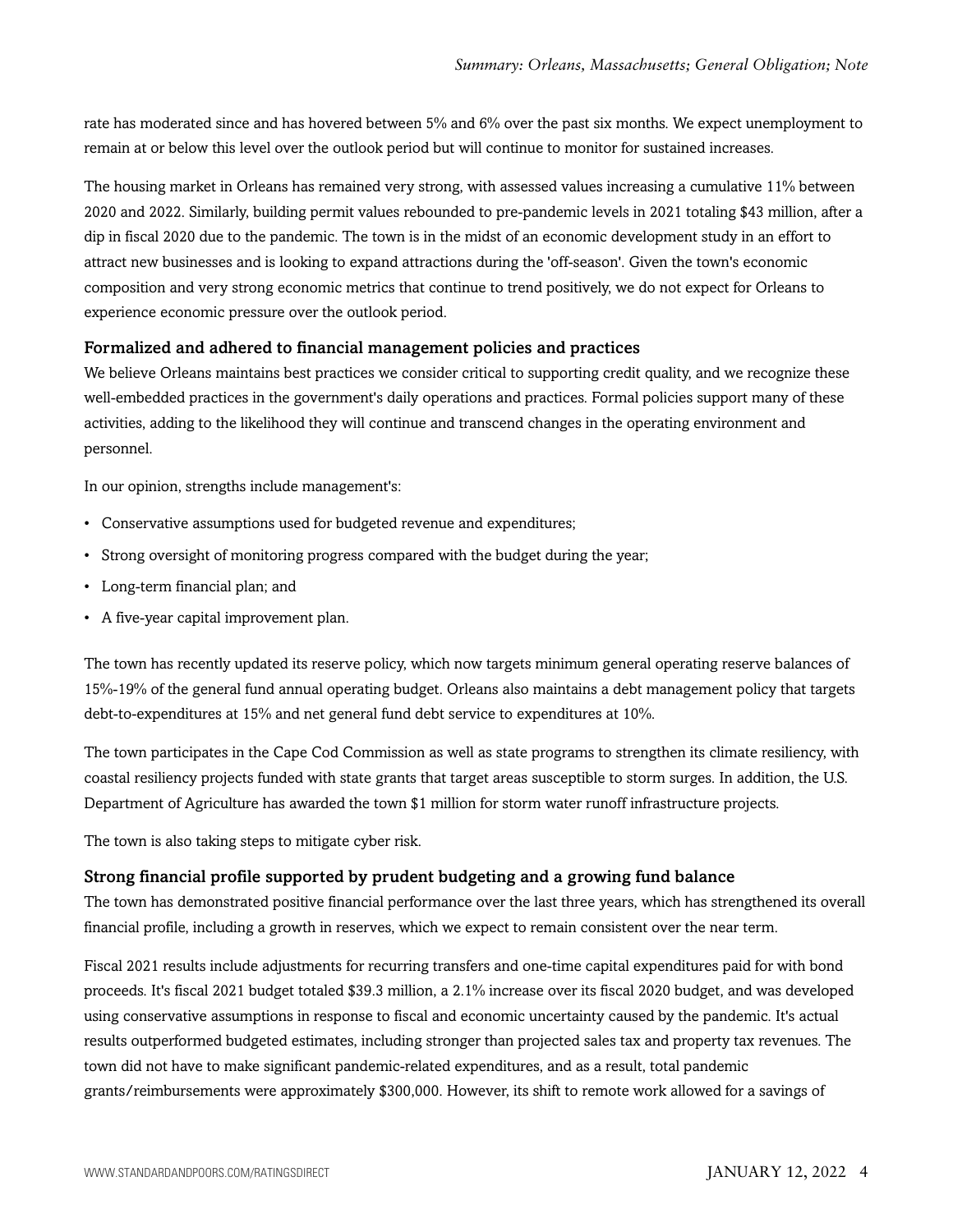rate has moderated since and has hovered between 5% and 6% over the past six months. We expect unemployment to remain at or below this level over the outlook period but will continue to monitor for sustained increases.

The housing market in Orleans has remained very strong, with assessed values increasing a cumulative 11% between 2020 and 2022. Similarly, building permit values rebounded to pre-pandemic levels in 2021 totaling \$43 million, after a dip in fiscal 2020 due to the pandemic. The town is in the midst of an economic development study in an effort to attract new businesses and is looking to expand attractions during the 'off-season'. Given the town's economic composition and very strong economic metrics that continue to trend positively, we do not expect for Orleans to experience economic pressure over the outlook period.

#### Formalized and adhered to financial management policies and practices

We believe Orleans maintains best practices we consider critical to supporting credit quality, and we recognize these well-embedded practices in the government's daily operations and practices. Formal policies support many of these activities, adding to the likelihood they will continue and transcend changes in the operating environment and personnel.

In our opinion, strengths include management's:

- Conservative assumptions used for budgeted revenue and expenditures;
- Strong oversight of monitoring progress compared with the budget during the year;
- Long-term financial plan; and
- A five-year capital improvement plan.

The town has recently updated its reserve policy, which now targets minimum general operating reserve balances of 15%-19% of the general fund annual operating budget. Orleans also maintains a debt management policy that targets debt-to-expenditures at 15% and net general fund debt service to expenditures at 10%.

The town participates in the Cape Cod Commission as well as state programs to strengthen its climate resiliency, with coastal resiliency projects funded with state grants that target areas susceptible to storm surges. In addition, the U.S. Department of Agriculture has awarded the town \$1 million for storm water runoff infrastructure projects.

The town is also taking steps to mitigate cyber risk.

#### Strong financial profile supported by prudent budgeting and a growing fund balance

The town has demonstrated positive financial performance over the last three years, which has strengthened its overall financial profile, including a growth in reserves, which we expect to remain consistent over the near term.

Fiscal 2021 results include adjustments for recurring transfers and one-time capital expenditures paid for with bond proceeds. It's fiscal 2021 budget totaled \$39.3 million, a 2.1% increase over its fiscal 2020 budget, and was developed using conservative assumptions in response to fiscal and economic uncertainty caused by the pandemic. It's actual results outperformed budgeted estimates, including stronger than projected sales tax and property tax revenues. The town did not have to make significant pandemic-related expenditures, and as a result, total pandemic grants/reimbursements were approximately \$300,000. However, its shift to remote work allowed for a savings of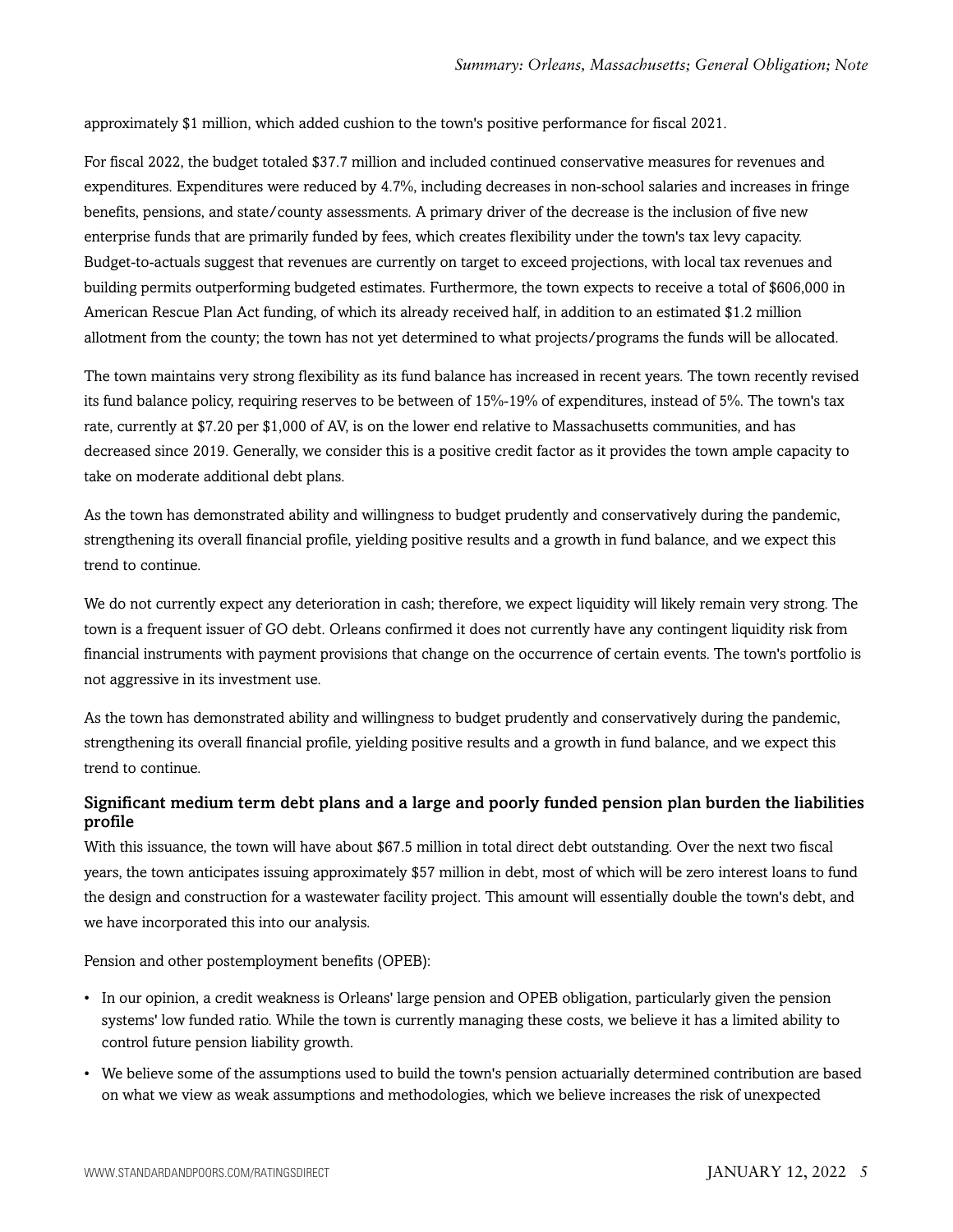approximately \$1 million, which added cushion to the town's positive performance for fiscal 2021.

For fiscal 2022, the budget totaled \$37.7 million and included continued conservative measures for revenues and expenditures. Expenditures were reduced by 4.7%, including decreases in non-school salaries and increases in fringe benefits, pensions, and state/county assessments. A primary driver of the decrease is the inclusion of five new enterprise funds that are primarily funded by fees, which creates flexibility under the town's tax levy capacity. Budget-to-actuals suggest that revenues are currently on target to exceed projections, with local tax revenues and building permits outperforming budgeted estimates. Furthermore, the town expects to receive a total of \$606,000 in American Rescue Plan Act funding, of which its already received half, in addition to an estimated \$1.2 million allotment from the county; the town has not yet determined to what projects/programs the funds will be allocated.

The town maintains very strong flexibility as its fund balance has increased in recent years. The town recently revised its fund balance policy, requiring reserves to be between of 15%-19% of expenditures, instead of 5%. The town's tax rate, currently at \$7.20 per \$1,000 of AV, is on the lower end relative to Massachusetts communities, and has decreased since 2019. Generally, we consider this is a positive credit factor as it provides the town ample capacity to take on moderate additional debt plans.

As the town has demonstrated ability and willingness to budget prudently and conservatively during the pandemic, strengthening its overall financial profile, yielding positive results and a growth in fund balance, and we expect this trend to continue.

We do not currently expect any deterioration in cash; therefore, we expect liquidity will likely remain very strong. The town is a frequent issuer of GO debt. Orleans confirmed it does not currently have any contingent liquidity risk from financial instruments with payment provisions that change on the occurrence of certain events. The town's portfolio is not aggressive in its investment use.

As the town has demonstrated ability and willingness to budget prudently and conservatively during the pandemic, strengthening its overall financial profile, yielding positive results and a growth in fund balance, and we expect this trend to continue.

### Significant medium term debt plans and a large and poorly funded pension plan burden the liabilities profile

With this issuance, the town will have about \$67.5 million in total direct debt outstanding. Over the next two fiscal years, the town anticipates issuing approximately \$57 million in debt, most of which will be zero interest loans to fund the design and construction for a wastewater facility project. This amount will essentially double the town's debt, and we have incorporated this into our analysis.

Pension and other postemployment benefits (OPEB):

- In our opinion, a credit weakness is Orleans' large pension and OPEB obligation, particularly given the pension systems' low funded ratio. While the town is currently managing these costs, we believe it has a limited ability to control future pension liability growth.
- We believe some of the assumptions used to build the town's pension actuarially determined contribution are based on what we view as weak assumptions and methodologies, which we believe increases the risk of unexpected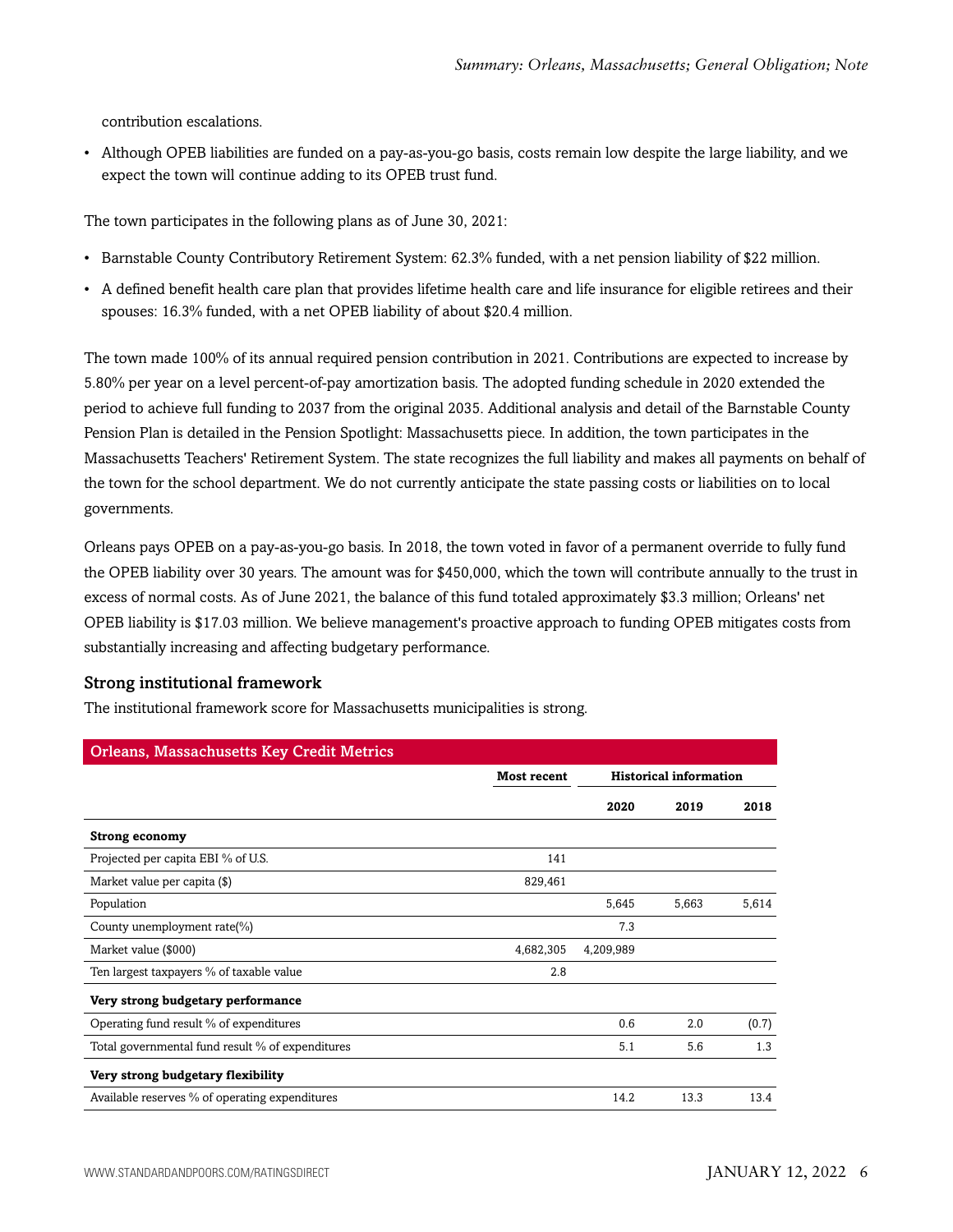contribution escalations.

• Although OPEB liabilities are funded on a pay-as-you-go basis, costs remain low despite the large liability, and we expect the town will continue adding to its OPEB trust fund.

The town participates in the following plans as of June 30, 2021:

- Barnstable County Contributory Retirement System: 62.3% funded, with a net pension liability of \$22 million.
- A defined benefit health care plan that provides lifetime health care and life insurance for eligible retirees and their spouses: 16.3% funded, with a net OPEB liability of about \$20.4 million.

The town made 100% of its annual required pension contribution in 2021. Contributions are expected to increase by 5.80% per year on a level percent-of-pay amortization basis. The adopted funding schedule in 2020 extended the period to achieve full funding to 2037 from the original 2035. Additional analysis and detail of the Barnstable County Pension Plan is detailed in the Pension Spotlight: Massachusetts piece. In addition, the town participates in the Massachusetts Teachers' Retirement System. The state recognizes the full liability and makes all payments on behalf of the town for the school department. We do not currently anticipate the state passing costs or liabilities on to local governments.

Orleans pays OPEB on a pay-as-you-go basis. In 2018, the town voted in favor of a permanent override to fully fund the OPEB liability over 30 years. The amount was for \$450,000, which the town will contribute annually to the trust in excess of normal costs. As of June 2021, the balance of this fund totaled approximately \$3.3 million; Orleans' net OPEB liability is \$17.03 million. We believe management's proactive approach to funding OPEB mitigates costs from substantially increasing and affecting budgetary performance.

#### Strong institutional framework

The institutional framework score for Massachusetts municipalities is strong.

| <b>Orleans, Massachusetts Key Credit Metrics</b> |                    |                               |       |       |
|--------------------------------------------------|--------------------|-------------------------------|-------|-------|
|                                                  | <b>Most recent</b> | <b>Historical information</b> |       |       |
|                                                  |                    | 2020                          | 2019  | 2018  |
| <b>Strong economy</b>                            |                    |                               |       |       |
| Projected per capita EBI % of U.S.               | 141                |                               |       |       |
| Market value per capita (\$)                     | 829,461            |                               |       |       |
| Population                                       |                    | 5,645                         | 5,663 | 5,614 |
| County unemployment rate(%)                      |                    | 7.3                           |       |       |
| Market value (\$000)                             | 4,682,305          | 4,209,989                     |       |       |
| Ten largest taxpayers % of taxable value         | 2.8                |                               |       |       |
| Very strong budgetary performance                |                    |                               |       |       |
| Operating fund result % of expenditures          |                    | 0.6                           | 2.0   | (0.7) |
| Total governmental fund result % of expenditures |                    | 5.1                           | 5.6   | 1.3   |
| Very strong budgetary flexibility                |                    |                               |       |       |
| Available reserves % of operating expenditures   |                    | 14.2                          | 13.3  | 13.4  |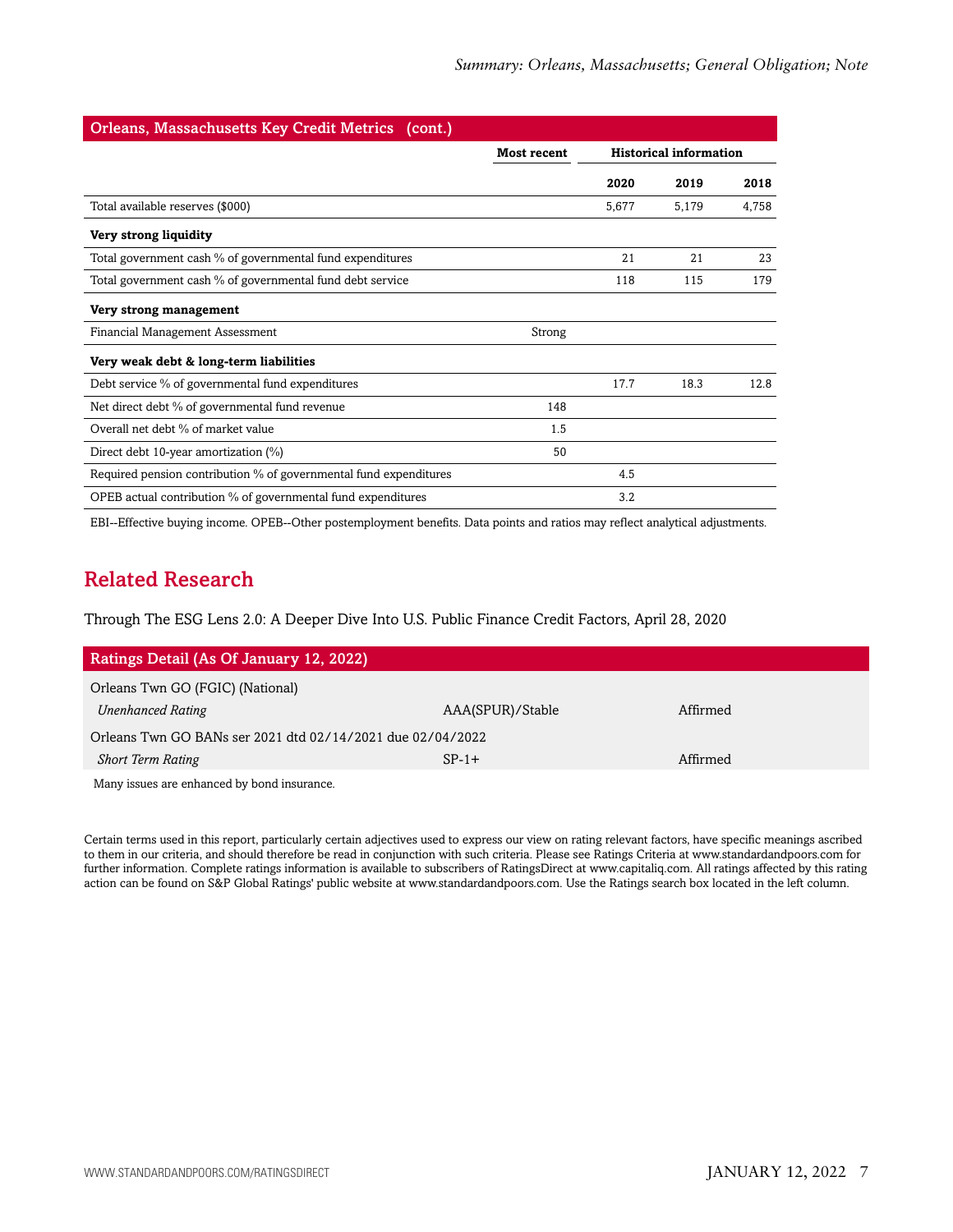| <b>Orleans, Massachusetts Key Credit Metrics (cont.)</b>          |                    |       |                               |       |  |  |
|-------------------------------------------------------------------|--------------------|-------|-------------------------------|-------|--|--|
|                                                                   | <b>Most recent</b> |       | <b>Historical information</b> |       |  |  |
|                                                                   |                    | 2020  | 2019                          | 2018  |  |  |
| Total available reserves (\$000)                                  |                    | 5,677 | 5,179                         | 4,758 |  |  |
| Very strong liquidity                                             |                    |       |                               |       |  |  |
| Total government cash % of governmental fund expenditures         |                    | 21    | 21                            | 23    |  |  |
| Total government cash % of governmental fund debt service         |                    | 118   | 115                           | 179   |  |  |
| Very strong management                                            |                    |       |                               |       |  |  |
| Financial Management Assessment                                   | Strong             |       |                               |       |  |  |
| Very weak debt & long-term liabilities                            |                    |       |                               |       |  |  |
| Debt service % of governmental fund expenditures                  |                    | 17.7  | 18.3                          | 12.8  |  |  |
| Net direct debt % of governmental fund revenue                    | 148                |       |                               |       |  |  |
| Overall net debt % of market value                                | 1.5                |       |                               |       |  |  |
| Direct debt 10-year amortization (%)                              | 50                 |       |                               |       |  |  |
| Required pension contribution % of governmental fund expenditures |                    | 4.5   |                               |       |  |  |
| OPEB actual contribution % of governmental fund expenditures      |                    | 3.2   |                               |       |  |  |

<span id="page-6-0"></span>EBI--Effective buying income. OPEB--Other postemployment benefits. Data points and ratios may reflect analytical adjustments.

# Related Research

Through The ESG Lens 2.0: A Deeper Dive Into U.S. Public Finance Credit Factors, April 28, 2020

| Ratings Detail (As Of January 12, 2022)                    |                  |          |  |  |
|------------------------------------------------------------|------------------|----------|--|--|
| Orleans Twn GO (FGIC) (National)                           |                  |          |  |  |
| <b>Unenhanced Rating</b>                                   | AAA(SPUR)/Stable | Affirmed |  |  |
| Orleans Twn GO BANs ser 2021 dtd 02/14/2021 due 02/04/2022 |                  |          |  |  |
| <b>Short Term Rating</b>                                   | $SP-1+$          | Affirmed |  |  |
| Many issues are enhanced by bond insurance.                |                  |          |  |  |

Certain terms used in this report, particularly certain adjectives used to express our view on rating relevant factors, have specific meanings ascribed to them in our criteria, and should therefore be read in conjunction with such criteria. Please see Ratings Criteria at www.standardandpoors.com for further information. Complete ratings information is available to subscribers of RatingsDirect at www.capitaliq.com. All ratings affected by this rating action can be found on S&P Global Ratings' public website at www.standardandpoors.com. Use the Ratings search box located in the left column.